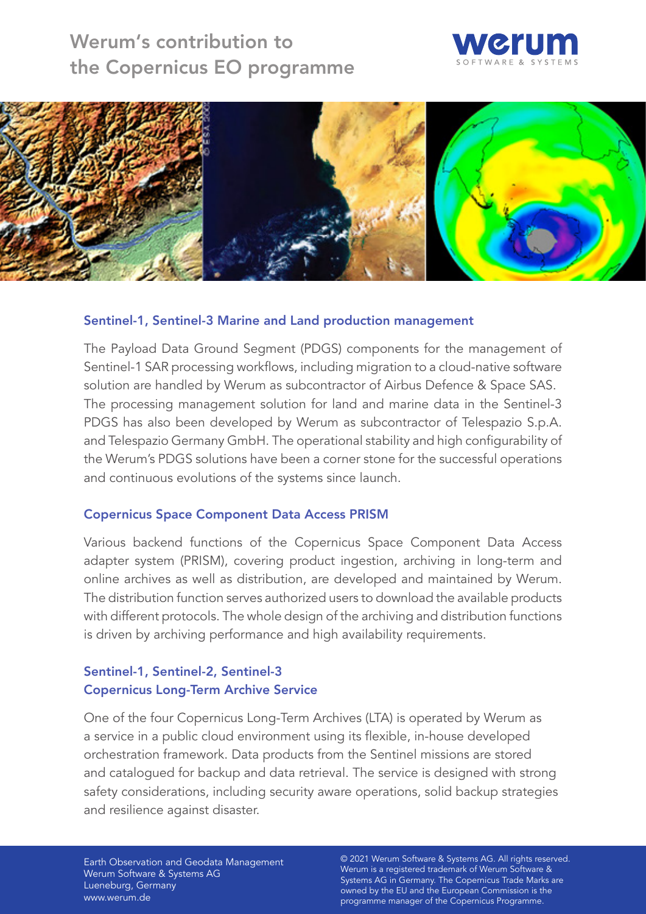# Werum's contribution to the Copernicus EO programme





#### Sentinel-1, Sentinel-3 Marine and Land production management

The Payload Data Ground Segment (PDGS) components for the management of Sentinel-1 SAR processing workflows, including migration to a cloud-native software solution are handled by Werum as subcontractor of Airbus Defence & Space SAS. The processing management solution for land and marine data in the Sentinel-3 PDGS has also been developed by Werum as subcontractor of Telespazio S.p.A. and Telespazio Germany GmbH. The operational stability and high configurability of the Werum's PDGS solutions have been a corner stone for the successful operations and continuous evolutions of the systems since launch.

#### Copernicus Space Component Data Access PRISM

Various backend functions of the Copernicus Space Component Data Access adapter system (PRISM), covering product ingestion, archiving in long-term and online archives as well as distribution, are developed and maintained by Werum. The distribution function serves authorized users to download the available products with different protocols. The whole design of the archiving and distribution functions is driven by archiving performance and high availability requirements.

### Sentinel-1, Sentinel-2, Sentinel-3 Copernicus Long-Term Archive Service

One of the four Copernicus Long-Term Archives (LTA) is operated by Werum as a service in a public cloud environment using its flexible, in-house developed orchestration framework. Data products from the Sentinel missions are stored and catalogued for backup and data retrieval. The service is designed with strong safety considerations, including security aware operations, solid backup strategies and resilience against disaster.

Earth Observation and Geodata Management Werum Software & Systems AG Lueneburg, Germany www.werum.de

© 2021 Werum Software & Systems AG. All rights reserved. Werum is a registered trademark of Werum Software & Systems AG in Germany. The Copernicus Trade Marks are owned by the EU and the European Commission is the programme manager of the Copernicus Programme.